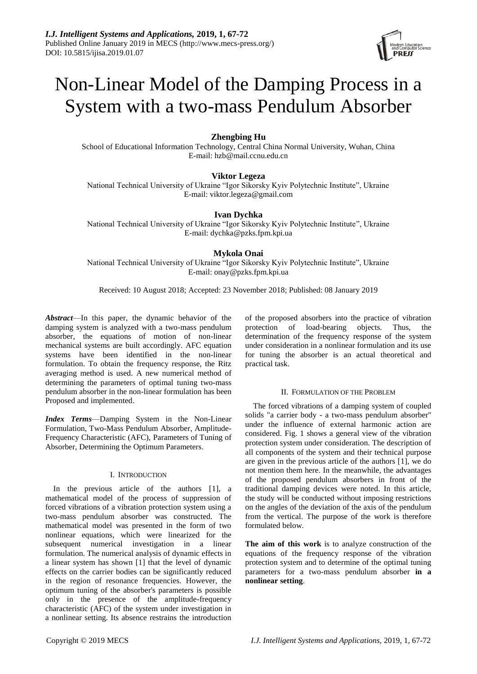

# Non-Linear Model of the Damping Process in a System with a two-mass Pendulum Absorber

# **Zhengbing Hu**

School of Educational Information Technology, Central China Normal University, Wuhan, China E-mail: [hzb@mail.ccnu.edu.cn](mailto:hzb@mail.ccnu.edu.cn)

# **Viktor Legeza**

National Technical University of Ukraine "Igor Sikorsky Kyiv Polytechnic Institute", Ukraine E-mail: viktor.legeza@gmail.com

# **Ivan Dychka**

National Technical University of Ukraine "Igor Sikorsky Kyiv Polytechnic Institute", Ukraine E-mail: dychka@pzks.fpm.kpi.ua

# **Mykola Onai**

National Technical University of Ukraine "Igor Sikorsky Kyiv Polytechnic Institute", Ukraine E-mail: onay@pzks.fpm.kpi.ua

Received: 10 August 2018; Accepted: 23 November 2018; Published: 08 January 2019

*Abstract*—In this paper, the dynamic behavior of the damping system is analyzed with a two-mass pendulum absorber, the equations of motion of non-linear mechanical systems are built accordingly. AFC equation systems have been identified in the non-linear formulation. To obtain the frequency response, the Ritz averaging method is used. A new numerical method of determining the parameters of optimal tuning two-mass pendulum absorber in the non-linear formulation has been Proposed and implemented.

*Index Terms*—Damping System in the Non-Linear Formulation, Two-Mass Pendulum Absorber, Amplitude-Frequency Characteristic (AFC), Parameters of Tuning of Absorber, Determining the Optimum Parameters.

# I. INTRODUCTION

In the previous article of the authors [1], a mathematical model of the process of suppression of forced vibrations of a vibration protection system using a two-mass pendulum absorber was constructed. The mathematical model was presented in the form of two nonlinear equations, which were linearized for the subsequent numerical investigation in a linear formulation. The numerical analysis of dynamic effects in a linear system has shown [1] that the level of dynamic effects on the carrier bodies can be significantly reduced in the region of resonance frequencies. However, the optimum tuning of the absorber's parameters is possible only in the presence of the amplitude-frequency characteristic (AFC) of the system under investigation in a nonlinear setting. Its absence restrains the introduction of the proposed absorbers into the practice of vibration protection of load-bearing objects. Thus, the determination of the frequency response of the system under consideration in a nonlinear formulation and its use for tuning the absorber is an actual theoretical and practical task.

## II. FORMULATION OF THE PROBLEM

The forced vibrations of a damping system of coupled solids "a carrier body - a two-mass pendulum absorber" under the influence of external harmonic action are considered. Fig. 1 shows a general view of the vibration protection system under consideration. The description of all components of the system and their technical purpose are given in the previous article of the authors [1], we do not mention them here. In the meanwhile, the advantages of the proposed pendulum absorbers in front of the traditional damping devices were noted. In this article, the study will be conducted without imposing restrictions on the angles of the deviation of the axis of the pendulum from the vertical. The purpose of the work is therefore formulated below.

**The aim of this work** is to analyze construction of the equations of the frequency response of the vibration protection system and to determine of the optimal tuning parameters for a two-mass pendulum absorber **in a nonlinear setting**.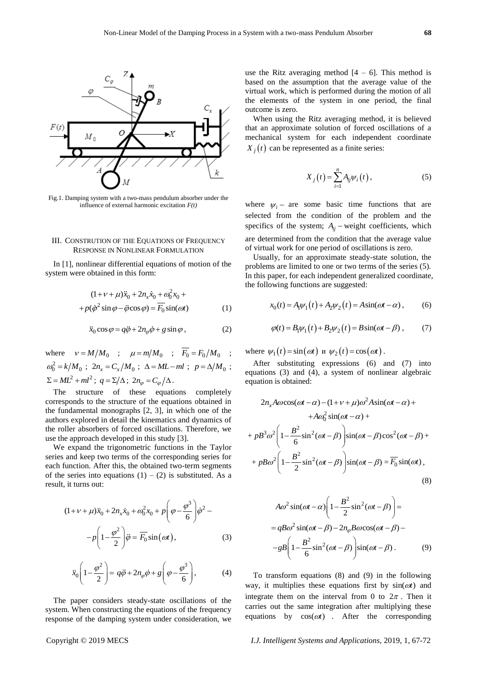

Fig.1. Damping system with a two-mass pendulum absorber under the influence of external harmonic excitation *F(t)*

## III. CONSTRUTION OF THE EQUATIONS OF FREQUENCY RESPONSE IN NONLINEAR FORMULATION

In [1], nonlinear differential equations of motion of the system were obtained in this form:

$$
(1 + \nu + \mu)\ddot{x}_0 + 2n_x\dot{x}_0 + \omega_0^2 x_0 +
$$
  
+  $p(\dot{\varphi}^2 \sin \varphi - \ddot{\varphi} \cos \varphi) = \overline{F_0} \sin(\omega t)$  (1)

$$
\ddot{x}_0 \cos \varphi = q\ddot{\varphi} + 2n_{\varphi}\dot{\varphi} + g \sin \varphi ,
$$
 (2)

where  $v = M/M_0$ ;  $\mu = m/M_0$ ;  $F_0 = F_0/M_0$ ;  $\omega_0^2 = k/M_0$ ;  $2n_x = C_x/M_0$ ;  $\Delta = ML - ml$ ;  $p = \Delta/M_0$ ;  $\Sigma = ML^2 + ml^2$ ;  $q = \Sigma/\Delta$ ;  $2n_\varphi = C_\varphi/\Delta$ .

The structure of these equations completely corresponds to the structure of the equations obtained in the fundamental monographs [2, 3], in which one of the authors explored in detail the kinematics and dynamics of the roller absorbers of forced oscillations. Therefore, we use the approach developed in this study [3].

We expand the trigonometric functions in the Taylor series and keep two terms of the corresponding series for each function. After this, the obtained two-term segments of the series into equations  $(1) - (2)$  is substituted. As a result, it turns out:

$$
(1 + \nu + \mu)\ddot{x}_0 + 2n_x\dot{x}_0 + \omega_0^2 x_0 + p\left(\varphi - \frac{\varphi^3}{6}\right)\dot{\varphi}^2 -
$$

$$
-p\left(1 - \frac{\varphi^2}{2}\right)\ddot{\varphi} = \overline{F_0}\sin(\omega t),\tag{3}
$$

$$
\ddot{x}_0 \left( 1 - \frac{\varphi^2}{2} \right) = q\ddot{\varphi} + 2n_\varphi \dot{\varphi} + g \left( \varphi - \frac{\varphi^3}{6} \right),\tag{4}
$$

The paper considers steady-state oscillations of the system. When constructing the equations of the frequency response of the damping system under consideration, we use the Ritz averaging method  $[4 - 6]$ . This method is based on the assumption that the average value of the virtual work, which is performed during the motion of all the elements of the system in one period, the final outcome is zero.

When using the Ritz averaging method, it is believed that an approximate solution of forced oscillations of a mechanical system for each independent coordinate  $X_j(t)$  can be represented as a finite series:

$$
X_j(t) = \sum_{i=1}^n A_{ij} \psi_i(t), \qquad (5)
$$

where  $\psi_i$  – are some basic time functions that are selected from the condition of the problem and the specifics of the system;  $A_{ij}$  – weight coefficients, which are determined from the condition that the average value of virtual work for one period of oscillations is zero.

Usually, for an approximate steady-state solution, the problems are limited to one or two terms of the series (5). In this paper, for each independent generalized coordinate, the following functions are suggested:

$$
x_0(t) = A_1 \psi_1(t) + A_2 \psi_2(t) = A \sin(\omega t - \alpha),
$$
 (6)

$$
\varphi(t) = B_1 \psi_1(t) + B_2 \psi_2(t) = B \sin(\omega t - \beta) , \qquad (7)
$$

where  $\psi_1(t) = \sin(\omega t)$  **u**  $\psi_2(t) = \cos(\omega t)$ .

After substituting expressions (6) and (7) into equations (3) and (4), a system of nonlinear algebraic equation is obtained:

$$
2n_x A\omega\cos(\omega t - \alpha) - (1 + \nu + \mu)\omega^2 A\sin(\omega t - \alpha) ++ A\omega_0^2 \sin(\omega t - \alpha) ++ pB^3 \omega^2 \left(1 - \frac{B^2}{6}\sin^2(\omega t - \beta)\right) \sin(\omega t - \beta)\cos^2(\omega t - \beta) ++ pB\omega^2 \left(1 - \frac{B^2}{2}\sin^2(\omega t - \beta)\right) \sin(\omega t - \beta) = \overline{F}_0 \sin(\omega t),
$$
\n(8)

$$
A\omega^2 \sin(\omega t - \alpha) \left( 1 - \frac{B^2}{2} \sin^2(\omega t - \beta) \right) =
$$
  
=  $qB\omega^2 \sin(\omega t - \beta) - 2n_\varphi B\omega \cos(\omega t - \beta) -$   
 $-gB \left( 1 - \frac{B^2}{6} \sin^2(\omega t - \beta) \right) \sin(\omega t - \beta).$  (9)

To transform equations (8) and (9) in the following way, it multiplies these equations first by  $sin(\omega t)$  and integrate them on the interval from 0 to  $2\pi$ . Then it carries out the same integration after multiplying these equations by  $cos(\omega t)$  . After the corresponding

#### Copyright © 2019 MECS *I.J. Intelligent Systems and Applications,* 2019, 1, 67-72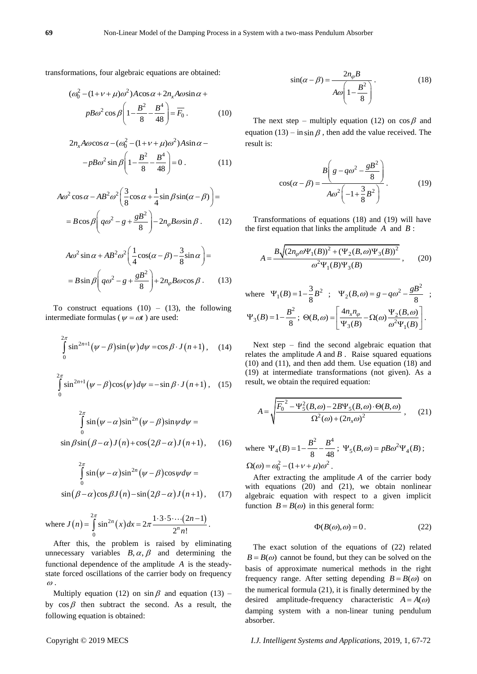transformations, four algebraic equations are obtained:

$$
(\omega_0^2 - (1 + \nu + \mu)\omega^2) A \cos \alpha + 2n_x A \omega \sin \alpha +
$$

$$
p B \omega^2 \cos \beta \left( 1 - \frac{B^2}{8} - \frac{B^4}{48} \right) = \overline{F}_0.
$$
 (10)

$$
2n_x A\omega\cos\alpha - (\omega_0^2 - (1 + \nu + \mu)\omega^2)A\sin\alpha -
$$

$$
-pB\omega^2\sin\beta \left(1 - \frac{B^2}{8} - \frac{B^4}{48}\right) = 0.
$$
 (11)

$$
A\omega^2 \cos \alpha - AB^2 \omega^2 \left(\frac{3}{8} \cos \alpha + \frac{1}{4} \sin \beta \sin(\alpha - \beta)\right) =
$$
  
=  $B \cos \beta \left(q\omega^2 - g + \frac{gB^2}{8}\right) - 2n_\varphi B \omega \sin \beta$ . (12)

$$
A\omega^2 \sin \alpha + AB^2 \omega^2 \left(\frac{1}{4} \cos(\alpha - \beta) - \frac{3}{8} \sin \alpha\right) =
$$
  
=  $B \sin \beta \left(q\omega^2 - g + \frac{gB^2}{8}\right) + 2n_\varphi B \omega \cos \beta$ . (13)

To construct equations  $(10) - (13)$ , the following intermediate formulas ( $\psi = \omega t$ ) are used:

$$
\int_{0}^{2\pi} \sin^{2n+1}(\psi - \beta)\sin(\psi) d\psi = \cos\beta \cdot J(n+1), \quad (14)
$$

$$
\int_{0}^{2\pi} \sin^{2n+1}(\psi - \beta)\cos(\psi) d\psi = -\sin\beta \cdot J(n+1), \quad (15)
$$

$$
\int_{0}^{2\pi} \sin(\psi - \alpha) \sin^{2n} (\psi - \beta) \sin \psi d\psi =
$$
  

$$
\sin \beta \sin(\beta - \alpha) J(n) + \cos(2\beta - \alpha) J(n+1), \quad (16)
$$

$$
\int_{0}^{2\pi} \sin(\psi - \alpha) \sin^{2n} (\psi - \beta) \cos \psi d\psi =
$$
  
sin( $\beta - \alpha$ )cos $\beta J(n)$  - sin(2 $\beta - \alpha$ ) $J(n+1)$ , (17)

where  $J(n) = \int_{0}^{2\pi} \sin^{2n}(x) dx = 2\pi \frac{1 \cdot 3 \cdot 5 \cdots (2n-1)}{2n}$ 0  $\sin^{2n}(x)dx = 2\pi \frac{1 \cdot 3 \cdot 5 \cdots (2n-1)}{2^{n-1}}$  $n(x)dx = 2\pi \frac{1 \cdot 3 \cdot 5 \cdots (2n)}{2^n n!}$ *n*  $J(n) = \int_{0}^{2\pi} \sin^{2n}(x) dx = 2\pi \frac{1 \cdot 3 \cdot 5 \cdots (2n)}{2^{n} n!}$ π  $=\int_{0}^{2\pi} \sin^{2n}(x) dx = 2\pi \frac{1 \cdot 3 \cdot 5 \cdots (2n-1)}{2^{n} n!}.$ 

After this, the problem is raised by eliminating unnecessary variables  $B, \alpha, \beta$  and determining the functional dependence of the amplitude *A* is the steadystate forced oscillations of the carrier body on frequency  $\omega$ .

Multiply equation (12) on  $\sin \beta$  and equation (13) – by  $\cos \beta$  then subtract the second. As a result, the following equation is obtained:

$$
\sin(\alpha - \beta) = \frac{2n_{\varphi}B}{A\omega \left(1 - \frac{B^2}{8}\right)}.
$$
\n(18)

The next step – multiply equation (12) on  $\cos \beta$  and equation (13) – in  $\sin \beta$ , then add the value received. The result is:

$$
\cos(\alpha - \beta) = \frac{B\left(g - q\omega^2 - \frac{gB^2}{8}\right)}{A\omega^2 \left(-1 + \frac{3}{8}B^2\right)}.
$$
 (19)

Transformations of equations (18) and (19) will have the first equation that links the amplitude  $A$  and  $B$ :

$$
A = \frac{B\sqrt{(2n_{\varphi}\omega\Psi_{1}(B))^{2} + (\Psi_{2}(B,\omega)\Psi_{3}(B))^{2}}}{\omega^{2}\Psi_{1}(B)\Psi_{3}(B)},
$$
 (20)

where 
$$
\Psi_1(B) = 1 - \frac{3}{8}B^2
$$
;  $\Psi_2(B, \omega) = g - q\omega^2 - \frac{gB^2}{8}$ ;  
\n $\Psi_3(B) = 1 - \frac{B^2}{8}$ ;  $\Theta(B, \omega) = \left[ \frac{4n_x n_\varphi}{\Psi_3(B)} - \Omega(\omega) \frac{\Psi_2(B, \omega)}{\omega^2 \Psi_1(B)} \right]$ .

Next step – find the second algebraic equation that relates the amplitude  $A$  and  $B$ . Raise squared equations (10) and (11), and then add them. Use equation (18) and (19) at intermediate transformations (not given). As a result, we obtain the required equation:

$$
A = \sqrt{\frac{F_0^2 - \Psi_5^2(B, \omega) - 2B\Psi_5(B, \omega) \cdot \Theta(B, \omega)}{\Omega^2(\omega) + (2n_x \omega)^2}},
$$
 (21)

where 
$$
\Psi_4(B) = 1 - \frac{B^2}{8} - \frac{B^4}{48}
$$
;  $\Psi_5(B,\omega) = pB\omega^2 \Psi_4(B)$ ;  
\n $\Omega(\omega) = \omega_0^2 - (1 + v + \mu)\omega^2$ .

After extracting the amplitude *A* of the carrier body with equations (20) and (21), we obtain nonlinear algebraic equation with respect to a given implicit function  $B = B(\omega)$  in this general form:

$$
\Phi(B(\omega), \omega) = 0. \tag{22}
$$

The exact solution of the equations of (22) related  $B = B(\omega)$  cannot be found, but they can be solved on the basis of approximate numerical methods in the right frequency range. After setting depending  $B = B(\omega)$  on the numerical formula (21), it is finally determined by the desired amplitude-frequency characteristic  $A = A(\omega)$ damping system with a non-linear tuning pendulum absorber.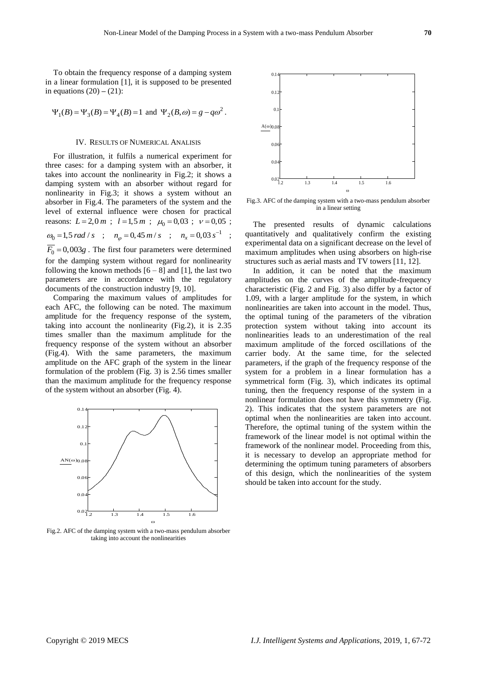To obtain the frequency response of a damping system in a linear formulation [1], it is supposed to be presented in equations  $(20) - (21)$ :

$$
\Psi_1(B) = \Psi_3(B) = \Psi_4(B) = 1
$$
 and  $\Psi_2(B,\omega) = g - q\omega^2$ .

### IV. RESULTS OF NUMERICAL ANALISIS

For illustration, it fulfils a numerical experiment for three cases: for a damping system with an absorber, it takes into account the nonlinearity in Fig.2; it shows a damping system with an absorber without regard for nonlinearity in Fig.3; it shows a system without an absorber in Fig.4. The parameters of the system and the level of external influence were chosen for practical reasons:  $L = 2,0 \, m$ ;  $l = 1,5 \, m$ ;  $\mu_0 = 0,03$ ;  $\nu = 0,05$ ;  $\omega_0 = 1, 5 \, rad/s$  ;  $n_\varphi = 0, 45 \, m/s$  ;  $n_x = 0, 03 \, s^{-1}$  ;  $\overline{F_0}$  = 0,003g. The first four parameters were determined for the damping system without regard for nonlinearity following the known methods  $[6 - 8]$  and [1], the last two parameters are in accordance with the regulatory documents of the construction industry [9, 10].

Comparing the maximum values of amplitudes for each AFC, the following can be noted. The maximum amplitude for the frequency response of the system, taking into account the nonlinearity (Fig.2), it is 2.35 times smaller than the maximum amplitude for the frequency response of the system without an absorber (Fig.4). With the same parameters, the maximum amplitude on the AFC graph of the system in the linear formulation of the problem (Fig. 3) is 2.56 times smaller than the maximum amplitude for the frequency response of the system without an absorber (Fig. 4).



Fig.2. AFC of the damping system with a two-mass pendulum absorber taking into account the nonlinearities



Fig.3. AFC of the damping system with a two-mass pendulum absorber in a linear setting

The presented results of dynamic calculations quantitatively and qualitatively confirm the existing experimental data on a significant decrease on the level of maximum amplitudes when using absorbers on high-rise structures such as aerial masts and TV towers [11, 12].

In addition, it can be noted that the maximum amplitudes on the curves of the amplitude-frequency characteristic (Fig. 2 and Fig. 3) also differ by a factor of 1.09, with a larger amplitude for the system, in which nonlinearities are taken into account in the model. Thus, the optimal tuning of the parameters of the vibration protection system without taking into account its nonlinearities leads to an underestimation of the real maximum amplitude of the forced oscillations of the carrier body. At the same time, for the selected parameters, if the graph of the frequency response of the system for a problem in a linear formulation has a symmetrical form (Fig. 3), which indicates its optimal tuning, then the frequency response of the system in a nonlinear formulation does not have this symmetry (Fig. 2). This indicates that the system parameters are not optimal when the nonlinearities are taken into account. Therefore, the optimal tuning of the system within the framework of the linear model is not optimal within the framework of the nonlinear model. Proceeding from this, it is necessary to develop an appropriate method for determining the optimum tuning parameters of absorbers of this design, which the nonlinearities of the system should be taken into account for the study.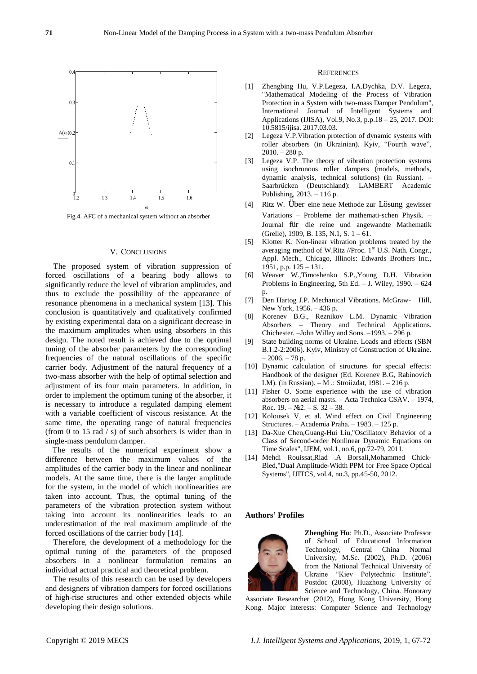

Fig.4. AFC of a mechanical system without an absorber

## V. СONCLUSIONS

The proposed system of vibration suppression of forced oscillations of a bearing body allows to significantly reduce the level of vibration amplitudes, and thus to exclude the possibility of the appearance of resonance phenomena in a mechanical system [13]. This conclusion is quantitatively and qualitatively confirmed by existing experimental data on a significant decrease in the maximum amplitudes when using absorbers in this design. The noted result is achieved due to the optimal tuning of the absorber parameters by the corresponding frequencies of the natural oscillations of the specific carrier body. Adjustment of the natural frequency of a two-mass absorber with the help of optimal selection and adjustment of its four main parameters. In addition, in order to implement the optimum tuning of the absorber, it is necessary to introduce a regulated damping element with a variable coefficient of viscous resistance. At the same time, the operating range of natural frequencies (from 0 to 15 rad / s) of such absorbers is wider than in single-mass pendulum damper.

The results of the numerical experiment show a difference between the maximum values of the amplitudes of the carrier body in the linear and nonlinear models. At the same time, there is the larger amplitude for the system, in the model of which nonlinearities are taken into account. Thus, the optimal tuning of the parameters of the vibration protection system without taking into account its nonlinearities leads to an underestimation of the real maximum amplitude of the forced oscillations of the carrier body [14].

Therefore, the development of a methodology for the optimal tuning of the parameters of the proposed absorbers in a nonlinear formulation remains an individual actual practical and theoretical problem.

The results of this research can be used by developers and designers of vibration dampers for forced oscillations of high-rise structures and other extended objects while developing their design solutions.

#### **REFERENCES**

- [1] Zhengbing Hu, V.P.Legeza, I.A.Dychka, D.V. Legeza, "Mathematical Modeling of the Process of Vibration Protection in a System with two-mass Damper Pendulum", International Journal of Intelligent Systems and Applications (IJISA), Vol.9, No.3, p.p.18 – 25, 2017. DOI: 10.5815/ijisa. 2017.03.03.
- [2] Legeza V.P.Vibration protection of dynamic systems with roller absorbers (in Ukrainian). Kyiv, "Fourth wave",  $2010. - 280$  p.
- [3] Legeza V.P. The theory of vibration protection systems using isochronous roller dampers (models, methods, dynamic analysis, technical solutions) (in Russian). – Saarbrücken (Deutschland): LAMBERT Academic Publishing, 2013. – 116 p.
- [4] Ritz W. Über eine neue Methode zur Lösung gewisser Variations – Probleme der mathemati-schen Physik. – Journal für die reine und angewandte Mathematik (Grelle), 1909, B. 135, N.1, S. 1 – 61.
- [5] Klotter K. Non-linear vibration problems treated by the averaging method of W.Ritz //Proc. 1st U.S. Nath. Congr., Appl. Mech., Chicago, Illinois: Edwards Brothers Inc., 1951, p.p. 125 – 131.
- [6] Weaver W.,Timoshenko S.P.,Young D.H. Vibration Problems in Engineering, 5th Ed. – J. Wiley, 1990. – 624  $\mathbf{p}$ .
- [7] Den Hartog J.P. Mechanical Vibrations. McGraw- Hill, New York, 1956. – 436 p.
- [8] Korenev B.G., Reznikov L.M. Dynamic Vibration Absorbers – Theory and Technical Applications. Chichester. –John Willey and Sons. –1993. – 296 p.
- [9] State building norms of Ukraine. Loads and effects (SBN В.1.2-2:2006). Kyiv, Ministry of Construction of Ukraine.  $-2006. - 78$  p.
- [10] Dynamic calculation of structures for special effects: Handbook of the designer (Ed. Korenev B.G, Rabinovich I.M). (in Russian). – M .: Stroiizdat, 1981. – 216 p.
- [11] Fisher O. Some experience with the use of vibration absorbers on aerial masts. – Acta Technica CSAV. – 1974, Roc.  $19. - N<sub>2</sub>2. - S. 32 - 38.$
- [12] Kolousek V, et al. Wind effect on Civil Engineering Structures. – Academia Praha. – 1983. – 125 p.
- [13] Da-Xue Chen,Guang-Hui Liu,"Oscillatory Behavior of a Class of Second-order Nonlinear Dynamic Equations on Time Scales", IJEM, vol.1, no.6, pp.72-79, 2011.
- [14] Mehdi Rouissat,Riad .A Borsali,Mohammed Chick-Bled,"Dual Amplitude-Width PPM for Free Space Optical Systems", IJITCS, vol.4, no.3, pp.45-50, 2012.

### **Authors' Profiles**



**Zhengbing Hu**: Ph.D., Associate Professor of School of Educational Information Technology, Central China Normal University, M.Sc. (2002), Ph.D. (2006) from the National Technical University of Ukraine "Kiev Polytechnic Institute". Postdoc (2008), Huazhong University of Science and Technology, China. Honorary

Associate Researcher (2012), Hong Kong University, Hong Kong. Major interests: Computer Science and Technology